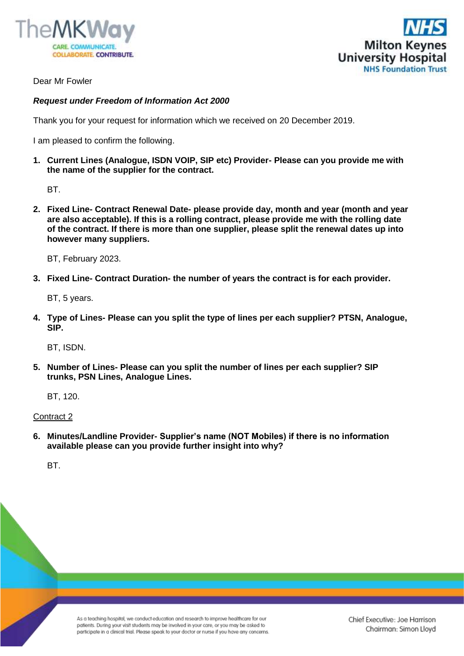



Dear Mr Fowler

## *Request under Freedom of Information Act 2000*

Thank you for your request for information which we received on 20 December 2019.

I am pleased to confirm the following.

**1. Current Lines (Analogue, ISDN VOIP, SIP etc) Provider- Please can you provide me with the name of the supplier for the contract.** 

BT.

**2. Fixed Line- Contract Renewal Date- please provide day, month and year (month and year are also acceptable). If this is a rolling contract, please provide me with the rolling date of the contract. If there is more than one supplier, please split the renewal dates up into however many suppliers.** 

BT, February 2023.

**3. Fixed Line- Contract Duration- the number of years the contract is for each provider.** 

BT, 5 years.

**4. Type of Lines- Please can you split the type of lines per each supplier? PTSN, Analogue, SIP.** 

BT, ISDN.

**5. Number of Lines- Please can you split the number of lines per each supplier? SIP trunks, PSN Lines, Analogue Lines.** 

BT, 120.

Contract 2

**6. Minutes/Landline Provider- Supplier's name (NOT Mobiles) if there is no information available please can you provide further insight into why?** 

BT.

As a teaching hospital, we conduct education and research to improve healthcare for our patients. During your visit students may be involved in your care, or you may be asked to participate in a clinical trial. Please speak to your doctor or nurse if you have any concerns. Chief Executive: Joe Harrison Chairman: Simon Lloyd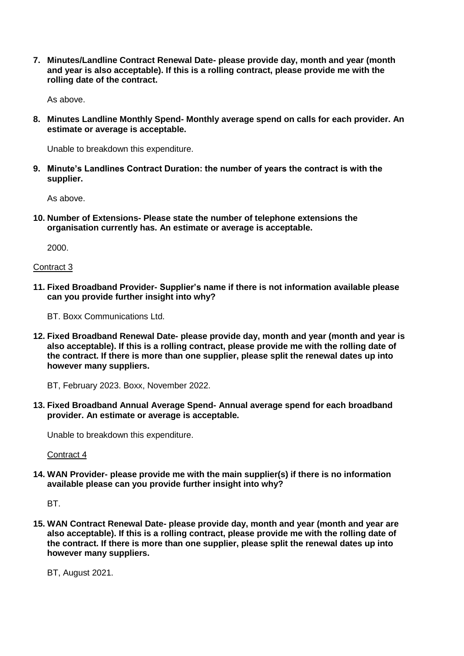**7. Minutes/Landline Contract Renewal Date- please provide day, month and year (month and year is also acceptable). If this is a rolling contract, please provide me with the rolling date of the contract.** 

As above.

**8. Minutes Landline Monthly Spend- Monthly average spend on calls for each provider. An estimate or average is acceptable.**

Unable to breakdown this expenditure.

**9. Minute's Landlines Contract Duration: the number of years the contract is with the supplier.** 

As above.

**10. Number of Extensions- Please state the number of telephone extensions the organisation currently has. An estimate or average is acceptable.** 

2000.

#### Contract 3

**11. Fixed Broadband Provider- Supplier's name if there is not information available please can you provide further insight into why?** 

BT. Boxx Communications Ltd.

**12. Fixed Broadband Renewal Date- please provide day, month and year (month and year is also acceptable). If this is a rolling contract, please provide me with the rolling date of the contract. If there is more than one supplier, please split the renewal dates up into however many suppliers.** 

BT, February 2023. Boxx, November 2022.

**13. Fixed Broadband Annual Average Spend- Annual average spend for each broadband provider. An estimate or average is acceptable.** 

Unable to breakdown this expenditure.

Contract 4

**14. WAN Provider- please provide me with the main supplier(s) if there is no information available please can you provide further insight into why?** 

BT.

**15. WAN Contract Renewal Date- please provide day, month and year (month and year are also acceptable). If this is a rolling contract, please provide me with the rolling date of the contract. If there is more than one supplier, please split the renewal dates up into however many suppliers.** 

BT, August 2021.